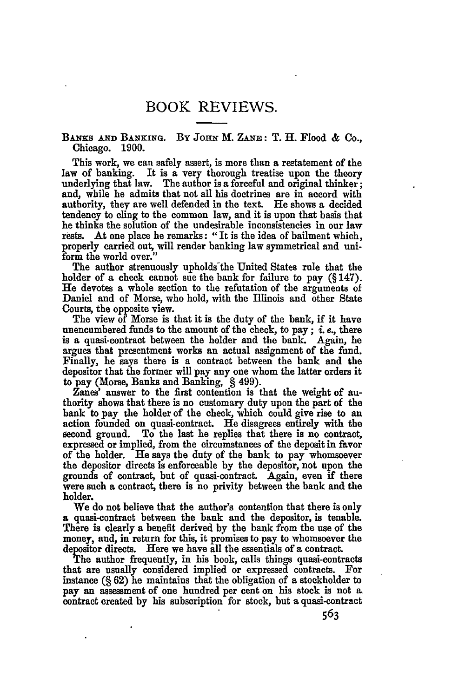Biwns **AND BANKING. By JOHN** *M.* **ZANE:** T. H. Flood **&** Co., Chicago. **1900.**

This work, we can safely assert, is more than a restatement of the law of banking. It is a very thorough treatise upon the theory underlying that law. The author is a forceful and original thinker; and, while he admits that not all his doctrines are in accord with authority, they are well defended in the text. He shows **a** decided tendency to cling to the common law, and it is upon that basis that he thinks the solution of the undesirable inconsistencies in our law rests. At one place he remarks: **"It** is the idea of bailment which, properly carried out, will render banking law symmetrical and uniform the world over."

The author strenuously upholds the United States rule that the holder of a check cannot sue the bank for failure to pay (§ 147). He devotes a whole section to the refutation of the arguments of Daniel and of Morse, who hold, with the Illinois and other State Courts, the opposite view.

The view of Morse is that it is the duty of the hank, if it have unencumbered funds to the amount of the check, to pay; *i. e.,* there is a quasi-contract between the holder and the bank. Again, he argues that presentment works an actual assignment of the fund. Finally, he says there is a contract between the bank and the depositor that the former will pay any one whom the latter orders it to pay (Morse, Banks and Banking, § 499).

Zanes' answer to the first contention is that the weight of authority shows that there is no customary duty upon the part of the bank to pay the holder of the check, which could give rise to an action founded on quasi-contract. He disagrees entirely with the second ground. To the last he replies that there is no contract, expressed or implied, from the circumstances of the deposit in favor of the holder. He says the duty of the bank to pay whomsoever the depositor directs is enforceable **by** the depositor, not upon the grounds of contract, but of quasi-contract. Again, even **if** there were such a contract, there is no privity between the bank and the holder.

We do not believe that the author's contention that there is only **a** quasi-contract between the bank and the depositor, is tenable. There is clearly a benefit derived **by** the bank from the use of the money, and, in return for this, it promises to pay to whomsoever the depositor directs. Here we have all the essentials of a contract.

The author frequently, in his book, calls things quasi-contracts that are usually considered implied or expressed contracts. For instance **(§ 62)** he maintains that the obligation of a stockholder to **pay** an assessment of one hundred per cent on his stock is not **a** contract created **by** his subscription for stock, but a quasi-contract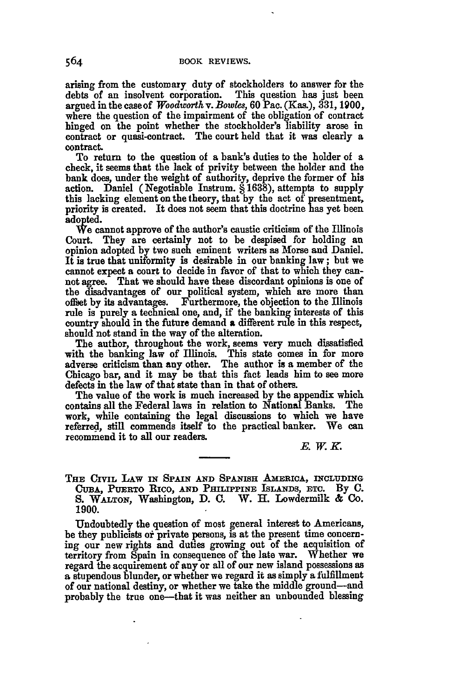arising from the customary duty of stockholders to answer for the debts of an insolvent corporation. This question has just been debts of an insolvent corporation. argued inthecaseof *Woodworth v. Bowe.,* **60** Pac. (Kas.), **331, 1900,** where the question of the impairment of the obligation of contract hinged on the point whether the stockholder's liability arose in contract or quasi-contract. The court held that it was clearly a contract.

To return to the question of a bank's duties to the holder of a check, it seems that the lack of privity between the holder and the bank does, under the weight of authority, deprive the former of his action. Daniel (Negotiable Instrum. **§ 1638),** attempts to supply this lacking element on the theory, that **by** the act of presentment, priority is created. It does not seem that this doctrine has yet been ado **pted.**

**We** cannot approve of the author's caustic criticism of the Illinois Court. They are certainly not to be despised for holding an opinion adopted **by** two such eminent writers as Morse and Daniel. It is true that uniformity is desirable in our banking law; but we cannot expect a court to decide in favor of that to which they cannot agree. That we should have these discordant opinions is one of the disadvantages of our political system, which are more than offset **by** its advantages. Furthermore, the objection to the Illinois rule is purely a technical one, and, if the banking interests of this country should in the future demand **a** different rule in this respect, should not stand in the way of the alteration.

The author, throughout the work, seems very much dissatisfied with the banking law of Illinois. This state comes in for more adverse criticism than any other. The author is a member of the Chicago bar, and it may be that this fact leads him to see more defects in the law of that state than in that of others.

The value of the work is much increased **by** the appendix which contains all the Federal laws in relation to National Banks. The work, while containing the legal discussions to which we have referred, still commends itself to the practical banker. We can recommend it to all our readers.

*E. W.K.*

**THE CIVIL** LAW **IN** *SPAIN* **AND SPANISH AMERICA, INCLUDING CUBA, PUERTO RICO, AND PHILIPPINE ISLANDS, ETC. By C. S.** WALTON, Washington, **D. C. IV.** H. Lowdermilk **& Co. 1900.**

Undoubtedly the question of most general interest to Americans, **he** they publicists **or** private persons, is at the present time concerning our new rights and duties growing out of the acquisition of territory from Spain in consequence of the late war. Whether we regard the acquirement of any or all of our new island possessions as **a** stupendous blunder, or whether we regard it as simply a fulfillment of our national destiny, or whether we take the middle ground-and probably the true one-that it was neither an unbounded blessing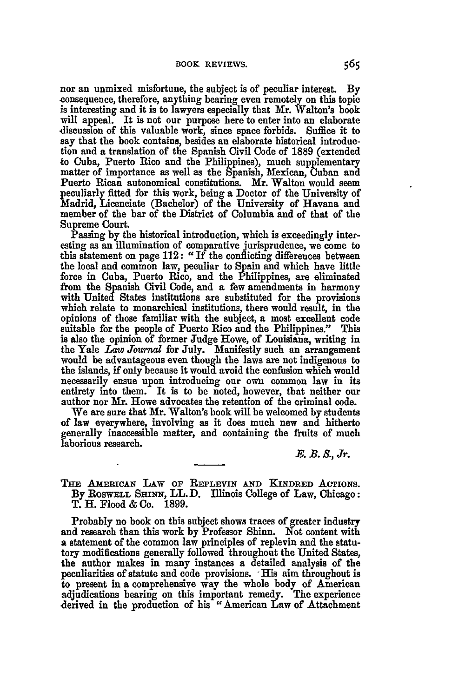nor an unmixed misfortune, the subject is of peculiar interest. **By** consequence, therefore, anything bearing even remotely on this topic is interesting and it is to lawyers especially that Mr. Walton's book will appeal. It is not our purpose here to enter into an elaborate discussion of this valuable work, since space forbids. Suffice it to say that the book contains, besides an elaborate historical introduction and a translation of the Spanish Civil Code of **1889** (extended to Cuba, Puerto Rico and the Philippines), much supplementary matter of importance as well as the Spanish, Mexican, Cuban and Puerto Rican autonomical constitutions. Mr. Walton would seem peculiarly fitted for this work, being a Doctor of the University of Madrid, Licenciate (Bachelor) of the University of Havana and member of the bar of the District of Columbia and of that of the Supreme Court.

Passing by the historical introduction, which is exceedingly interesting as an illumination of comparative jurisprudence, we come to this statement on page 112: **"If** the conflicting differences between the local and common law, peculiar to Spain and which have little force in Cuba, Puerto Rico, and the Philippines, are eliminated from the Spanish Civil Code, and a few amendments in harmony with United States institutions are substituted for the provisions which relate to monarchical institutions, there would result, in the opinions of those familiar with the subject, a most excellent code suitable for the people of Puerto Rico and the Philippines." This is also the opinion of former Judge Howe, of Louisiana, writing in the Yale Law Journal for July. Manifestly such an arrangement would be advantageous even though the laws are not indigenous to the islands, if only because it would avoid the confusion which would necessarily ensue upon introducing our own common law in its entirety into them. It is to be noted, however, that neither our author nor Mr. Howe advocates the retention of the criminal code.

We are sure that Mr. Walton's book will be welcomed **by** students of law everywhere, involving as it does much new and hitherto generally inaccessible matter, and containing the fruits of much laborious research.

**E.** B. **S.,** Jr.

**THE AMERIcAN LAW OF REPLEVIN AND KINDRED AcTioNs. By ROSWELL SHINN,** LL. **D.** Illinois College of Law, Chicago: T. H. Flood **&** Co. **1899.**

Probably no book on this subject shows traces of greater industry and research than this work **by** Professor Shinn. Not content with a statement of the common law principles of replevin and the statutory modifications generally followed throughout the United States, the author makes in many instances **a** detailed analysis of the peculiarities of statute and code provisions. **-**His aim throughout is to present in a comprehensive way the whole body of American adjudications bearing on this important remedy. The experience derived in the production of his "American Law of Attachment